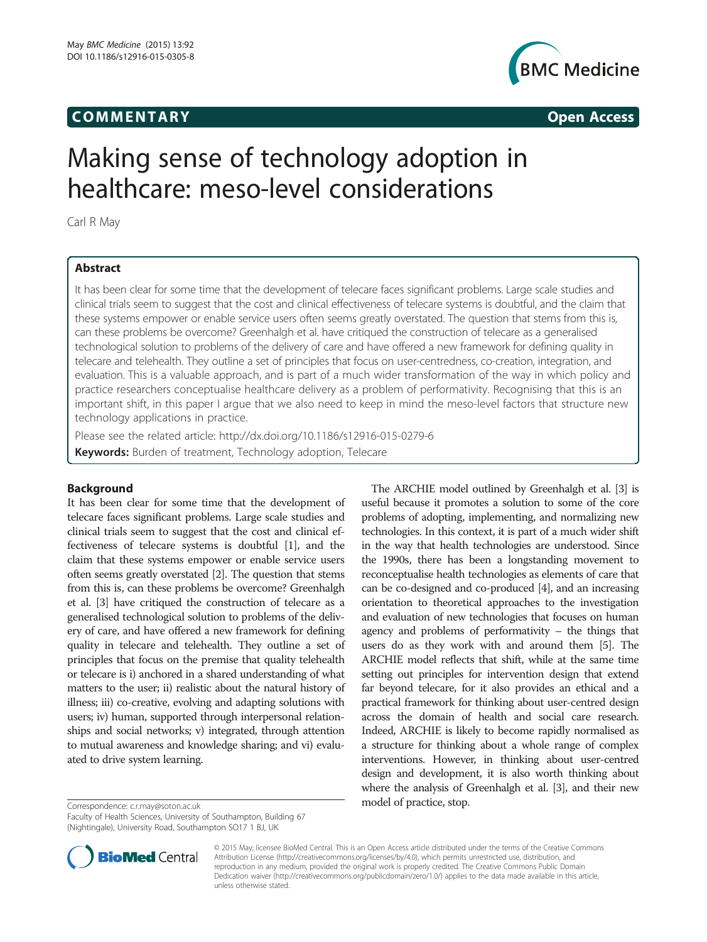# COMM EN TARY Open Access



# Making sense of technology adoption in healthcare: meso-level considerations

Carl R May

# Abstract

It has been clear for some time that the development of telecare faces significant problems. Large scale studies and clinical trials seem to suggest that the cost and clinical effectiveness of telecare systems is doubtful, and the claim that these systems empower or enable service users often seems greatly overstated. The question that stems from this is, can these problems be overcome? Greenhalgh et al. have critiqued the construction of telecare as a generalised technological solution to problems of the delivery of care and have offered a new framework for defining quality in telecare and telehealth. They outline a set of principles that focus on user-centredness, co-creation, integration, and evaluation. This is a valuable approach, and is part of a much wider transformation of the way in which policy and practice researchers conceptualise healthcare delivery as a problem of performativity. Recognising that this is an important shift, in this paper I argue that we also need to keep in mind the meso-level factors that structure new technology applications in practice.

Please see the related article:<http://dx.doi.org/10.1186/s12916-015-0279-6>

Keywords: Burden of treatment, Technology adoption, Telecare

# Background

It has been clear for some time that the development of telecare faces significant problems. Large scale studies and clinical trials seem to suggest that the cost and clinical effectiveness of telecare systems is doubtful [[1](#page-2-0)], and the claim that these systems empower or enable service users often seems greatly overstated [[2](#page-2-0)]. The question that stems from this is, can these problems be overcome? Greenhalgh et al. [\[3\]](#page-2-0) have critiqued the construction of telecare as a generalised technological solution to problems of the delivery of care, and have offered a new framework for defining quality in telecare and telehealth. They outline a set of principles that focus on the premise that quality telehealth or telecare is i) anchored in a shared understanding of what matters to the user; ii) realistic about the natural history of illness; iii) co-creative, evolving and adapting solutions with users; iv) human, supported through interpersonal relationships and social networks; v) integrated, through attention to mutual awareness and knowledge sharing; and vi) evaluated to drive system learning.

Faculty of Health Sciences, University of Southampton, Building 67 (Nightingale), University Road, Southampton SO17 1 BJ, UK





© 2015 May; licensee BioMed Central. This is an Open Access article distributed under the terms of the Creative Commons Attribution License (<http://creativecommons.org/licenses/by/4.0>), which permits unrestricted use, distribution, and reproduction in any medium, provided the original work is properly credited. The Creative Commons Public Domain Dedication waiver [\(http://creativecommons.org/publicdomain/zero/1.0/](http://creativecommons.org/publicdomain/zero/1.0/)) applies to the data made available in this article, unless otherwise stated.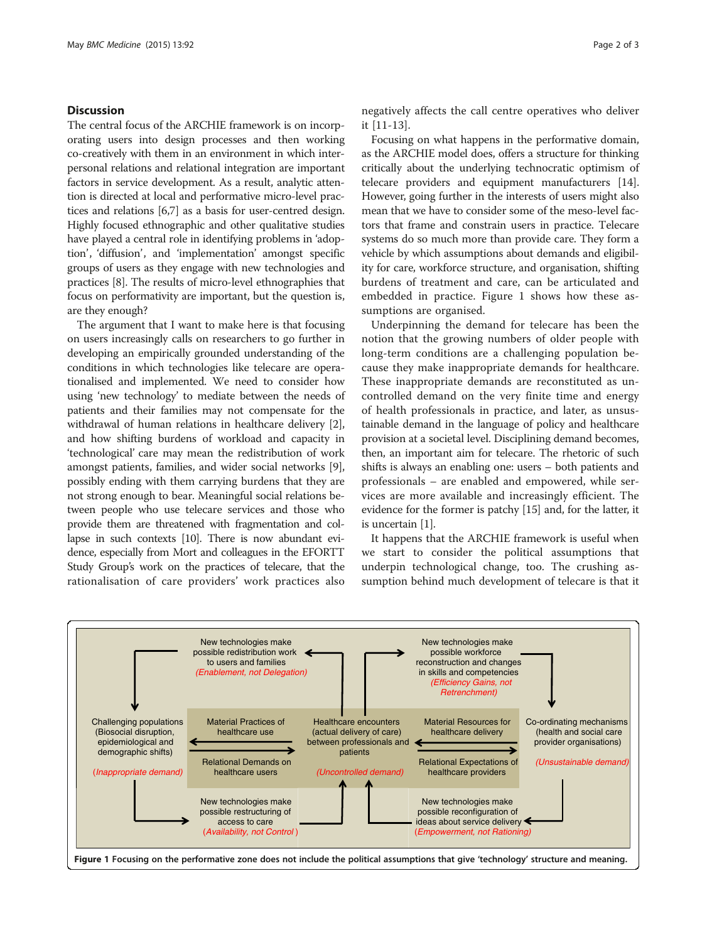## Discussion

The central focus of the ARCHIE framework is on incorporating users into design processes and then working co-creatively with them in an environment in which interpersonal relations and relational integration are important factors in service development. As a result, analytic attention is directed at local and performative micro-level practices and relations [\[6,7\]](#page-2-0) as a basis for user-centred design. Highly focused ethnographic and other qualitative studies have played a central role in identifying problems in 'adoption', 'diffusion', and 'implementation' amongst specific groups of users as they engage with new technologies and practices [[8](#page-2-0)]. The results of micro-level ethnographies that focus on performativity are important, but the question is, are they enough?

The argument that I want to make here is that focusing on users increasingly calls on researchers to go further in developing an empirically grounded understanding of the conditions in which technologies like telecare are operationalised and implemented. We need to consider how using 'new technology' to mediate between the needs of patients and their families may not compensate for the withdrawal of human relations in healthcare delivery [[2](#page-2-0)], and how shifting burdens of workload and capacity in 'technological' care may mean the redistribution of work amongst patients, families, and wider social networks [[9](#page-2-0)], possibly ending with them carrying burdens that they are not strong enough to bear. Meaningful social relations between people who use telecare services and those who provide them are threatened with fragmentation and collapse in such contexts [\[10](#page-2-0)]. There is now abundant evidence, especially from Mort and colleagues in the EFORTT Study Group's work on the practices of telecare, that the rationalisation of care providers' work practices also

negatively affects the call centre operatives who deliver it [[11-13](#page-2-0)].

Focusing on what happens in the performative domain, as the ARCHIE model does, offers a structure for thinking critically about the underlying technocratic optimism of telecare providers and equipment manufacturers [[14](#page-2-0)]. However, going further in the interests of users might also mean that we have to consider some of the meso-level factors that frame and constrain users in practice. Telecare systems do so much more than provide care. They form a vehicle by which assumptions about demands and eligibility for care, workforce structure, and organisation, shifting burdens of treatment and care, can be articulated and embedded in practice. Figure 1 shows how these assumptions are organised.

Underpinning the demand for telecare has been the notion that the growing numbers of older people with long-term conditions are a challenging population because they make inappropriate demands for healthcare. These inappropriate demands are reconstituted as uncontrolled demand on the very finite time and energy of health professionals in practice, and later, as unsustainable demand in the language of policy and healthcare provision at a societal level. Disciplining demand becomes, then, an important aim for telecare. The rhetoric of such shifts is always an enabling one: users – both patients and professionals – are enabled and empowered, while services are more available and increasingly efficient. The evidence for the former is patchy [\[15\]](#page-2-0) and, for the latter, it is uncertain [\[1](#page-2-0)].

It happens that the ARCHIE framework is useful when we start to consider the political assumptions that underpin technological change, too. The crushing assumption behind much development of telecare is that it